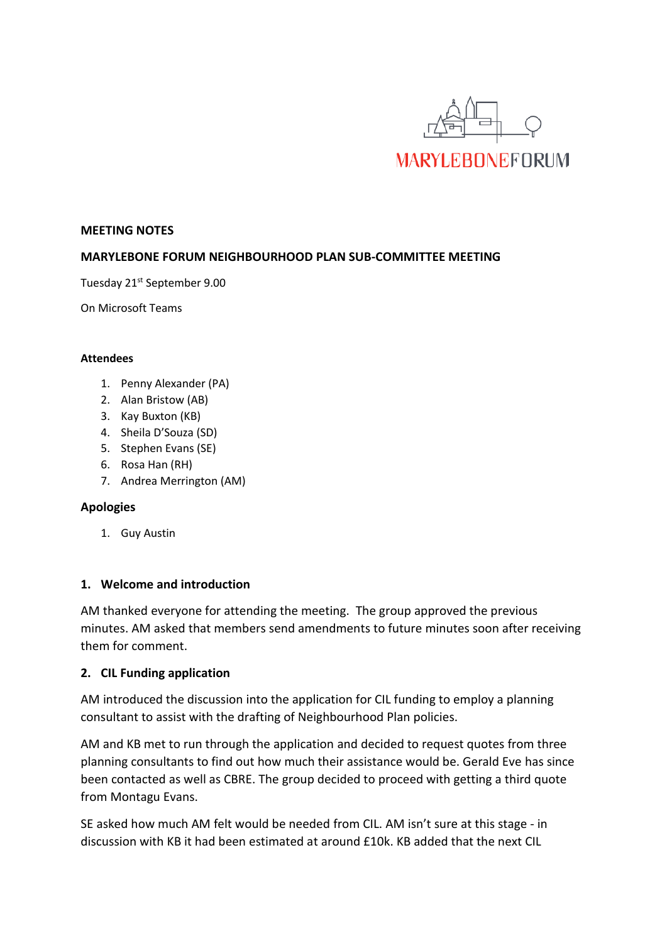

#### **MEETING NOTES**

### **MARYLEBONE FORUM NEIGHBOURHOOD PLAN SUB-COMMITTEE MEETING**

Tuesday 21<sup>st</sup> September 9.00

On Microsoft Teams

#### **Attendees**

- 1. Penny Alexander (PA)
- 2. Alan Bristow (AB)
- 3. Kay Buxton (KB)
- 4. Sheila D'Souza (SD)
- 5. Stephen Evans (SE)
- 6. Rosa Han (RH)
- 7. Andrea Merrington (AM)

### **Apologies**

1. Guy Austin

### **1. Welcome and introduction**

AM thanked everyone for attending the meeting. The group approved the previous minutes. AM asked that members send amendments to future minutes soon after receiving them for comment.

### **2. CIL Funding application**

AM introduced the discussion into the application for CIL funding to employ a planning consultant to assist with the drafting of Neighbourhood Plan policies.

AM and KB met to run through the application and decided to request quotes from three planning consultants to find out how much their assistance would be. Gerald Eve has since been contacted as well as CBRE. The group decided to proceed with getting a third quote from Montagu Evans.

SE asked how much AM felt would be needed from CIL. AM isn't sure at this stage - in discussion with KB it had been estimated at around £10k. KB added that the next CIL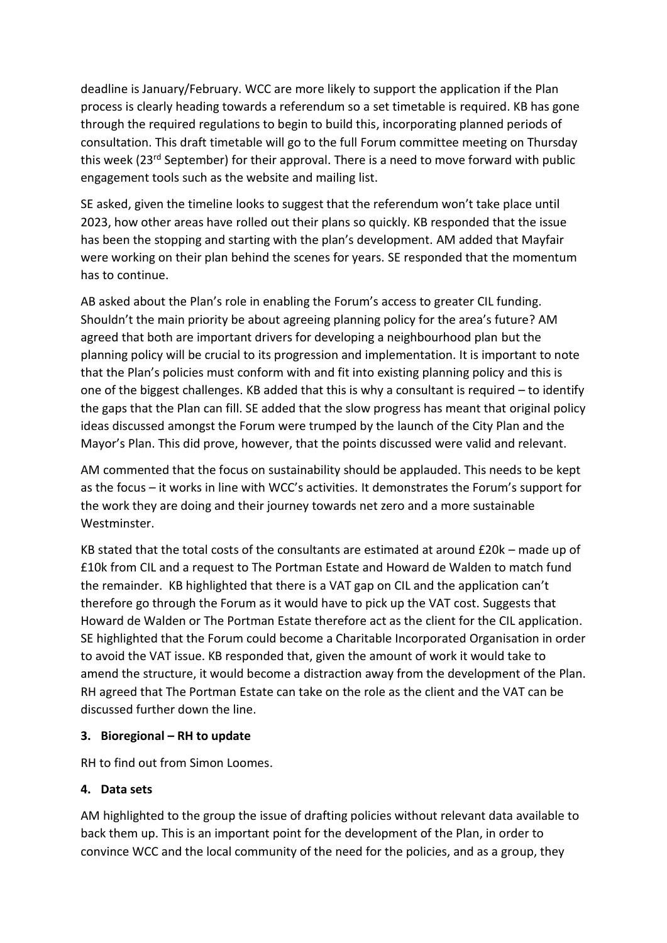deadline is January/February. WCC are more likely to support the application if the Plan process is clearly heading towards a referendum so a set timetable is required. KB has gone through the required regulations to begin to build this, incorporating planned periods of consultation. This draft timetable will go to the full Forum committee meeting on Thursday this week (23<sup>rd</sup> September) for their approval. There is a need to move forward with public engagement tools such as the website and mailing list.

SE asked, given the timeline looks to suggest that the referendum won't take place until 2023, how other areas have rolled out their plans so quickly. KB responded that the issue has been the stopping and starting with the plan's development. AM added that Mayfair were working on their plan behind the scenes for years. SE responded that the momentum has to continue.

AB asked about the Plan's role in enabling the Forum's access to greater CIL funding. Shouldn't the main priority be about agreeing planning policy for the area's future? AM agreed that both are important drivers for developing a neighbourhood plan but the planning policy will be crucial to its progression and implementation. It is important to note that the Plan's policies must conform with and fit into existing planning policy and this is one of the biggest challenges. KB added that this is why a consultant is required – to identify the gaps that the Plan can fill. SE added that the slow progress has meant that original policy ideas discussed amongst the Forum were trumped by the launch of the City Plan and the Mayor's Plan. This did prove, however, that the points discussed were valid and relevant.

AM commented that the focus on sustainability should be applauded. This needs to be kept as the focus – it works in line with WCC's activities. It demonstrates the Forum's support for the work they are doing and their journey towards net zero and a more sustainable **Westminster** 

KB stated that the total costs of the consultants are estimated at around £20k – made up of £10k from CIL and a request to The Portman Estate and Howard de Walden to match fund the remainder. KB highlighted that there is a VAT gap on CIL and the application can't therefore go through the Forum as it would have to pick up the VAT cost. Suggests that Howard de Walden or The Portman Estate therefore act as the client for the CIL application. SE highlighted that the Forum could become a Charitable Incorporated Organisation in order to avoid the VAT issue. KB responded that, given the amount of work it would take to amend the structure, it would become a distraction away from the development of the Plan. RH agreed that The Portman Estate can take on the role as the client and the VAT can be discussed further down the line.

## **3. Bioregional – RH to update**

RH to find out from Simon Loomes.

# **4. Data sets**

AM highlighted to the group the issue of drafting policies without relevant data available to back them up. This is an important point for the development of the Plan, in order to convince WCC and the local community of the need for the policies, and as a group, they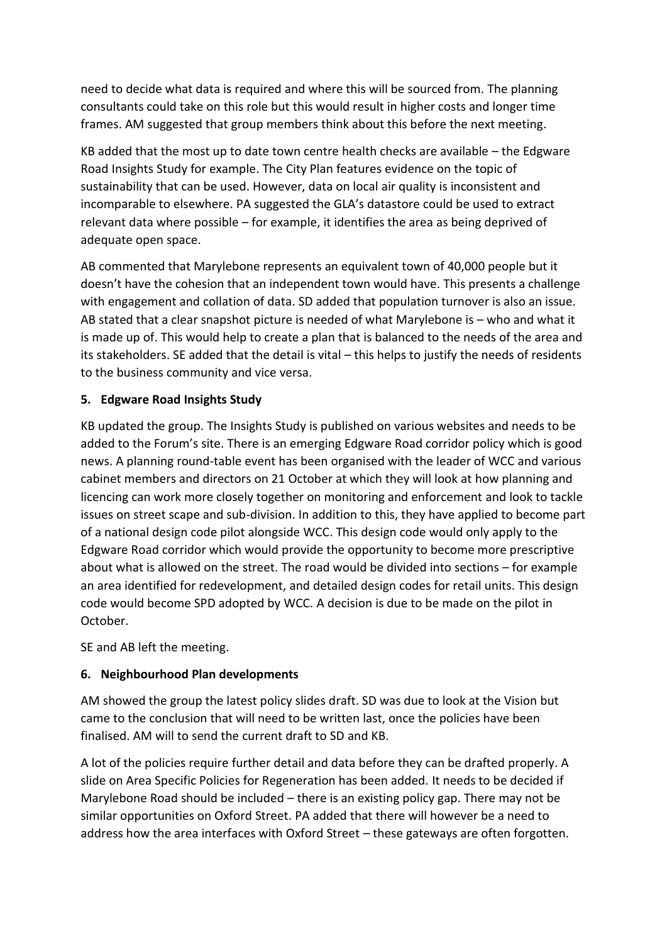need to decide what data is required and where this will be sourced from. The planning consultants could take on this role but this would result in higher costs and longer time frames. AM suggested that group members think about this before the next meeting.

KB added that the most up to date town centre health checks are available – the Edgware Road Insights Study for example. The City Plan features evidence on the topic of sustainability that can be used. However, data on local air quality is inconsistent and incomparable to elsewhere. PA suggested the GLA's datastore could be used to extract relevant data where possible – for example, it identifies the area as being deprived of adequate open space.

AB commented that Marylebone represents an equivalent town of 40,000 people but it doesn't have the cohesion that an independent town would have. This presents a challenge with engagement and collation of data. SD added that population turnover is also an issue. AB stated that a clear snapshot picture is needed of what Marylebone is – who and what it is made up of. This would help to create a plan that is balanced to the needs of the area and its stakeholders. SE added that the detail is vital – this helps to justify the needs of residents to the business community and vice versa.

## **5. Edgware Road Insights Study**

KB updated the group. The Insights Study is published on various websites and needs to be added to the Forum's site. There is an emerging Edgware Road corridor policy which is good news. A planning round-table event has been organised with the leader of WCC and various cabinet members and directors on 21 October at which they will look at how planning and licencing can work more closely together on monitoring and enforcement and look to tackle issues on street scape and sub-division. In addition to this, they have applied to become part of a national design code pilot alongside WCC. This design code would only apply to the Edgware Road corridor which would provide the opportunity to become more prescriptive about what is allowed on the street. The road would be divided into sections – for example an area identified for redevelopment, and detailed design codes for retail units. This design code would become SPD adopted by WCC. A decision is due to be made on the pilot in October.

SE and AB left the meeting.

# **6. Neighbourhood Plan developments**

AM showed the group the latest policy slides draft. SD was due to look at the Vision but came to the conclusion that will need to be written last, once the policies have been finalised. AM will to send the current draft to SD and KB.

A lot of the policies require further detail and data before they can be drafted properly. A slide on Area Specific Policies for Regeneration has been added. It needs to be decided if Marylebone Road should be included – there is an existing policy gap. There may not be similar opportunities on Oxford Street. PA added that there will however be a need to address how the area interfaces with Oxford Street – these gateways are often forgotten.